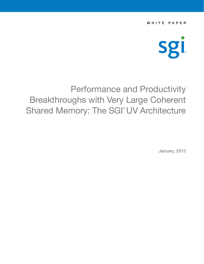WHITE PAPER



# Performance and Productivity Breakthroughs with Very Large Coherent Shared Memory: The SGI<sup>®</sup> UV Architecture

January, 2012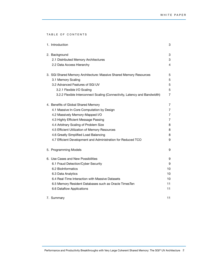TABLE OF CONTENTS

| 1. Introduction                                                           | 3              |
|---------------------------------------------------------------------------|----------------|
| 2. Background                                                             | 3              |
| 2.1 Distributed Memory Architectures                                      | 3              |
| 2.2 Data Access Hierarchy                                                 | 4              |
| 3. SGI Shared Memory Architecture: Massive Shared Memory Resources        | 5              |
| 3.1 Memory Scaling                                                        | 5              |
| 3.2 Advanced Features of SGI UV                                           | 5              |
| 3.2.1 Flexible I/O Scaling                                                | 5              |
| 3.2.2 Flexible Interconnect Scaling (Connectivity, Latency and Bandwidth) | $\overline{7}$ |
| 4. Benefits of Global Shared Memory                                       | 7              |
| 4.1 Massive In-Core Computation by Design                                 | 7              |
| 4.2 Massively Memory-Mapped I/O                                           | 7              |
| 4.3 Highly Efficient Message Passing                                      | 7              |
| 4.4 Arbitrary Scaling of Problem Size                                     | 8              |
| 4.5 Efficient Utilization of Memory Resources                             | 8              |
| 4.6 Greatly Simplified Load Balancing                                     | 8              |
| 4.7 Efficient Development and Administration for Reduced TCO              | 9              |
| 5. Programming Models                                                     | 9              |
| 6. Use Cases and New Possibilities                                        | 9              |
| 6.1 Fraud Detection/Cyber Security                                        | 9              |
| 6.2 Biolnformatics                                                        | 10             |
| 6.3 Data Analytics                                                        | 10             |
| 6.4 Real-Time Interaction with Massive Datasets                           | 10             |
| 6.5 Memory Resident Databases such as Oracle TimesTen                     | 11             |
| 6.6 Dataflow Applications                                                 | 11             |
| 7. Summary                                                                | 11             |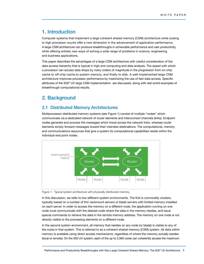## 1. Introduction

Computer systems that implement a large coherent shared memory (CSM) architecture while scaling to high processor counts offer a new dimension in the advancement of application performance. A large CSM architecture can produce breakthroughs in achievable performance and user productivity, while offering entirely new ways of solving a wide range of problems in science, engineering and business applications.

This paper describes the advantages of a large CSM architecture with careful consideration of the data access hierarchy that is typical in high end computing and data analysis. The speed with which a processor can access data drops by many orders of magnitude in the progression from on-chip cache to off-chip cache,to system memory, and finally to disk. A well-implemented large CSM architecture improves processor performance by maximizing the use of fast data access. Specific attributes of the SGI® UV large CSM implementation are discussed, along with real world examples of breakthrough computational results.

## 2. Background

#### 2.1 Distributed Memory Architectures

Multiprocessor distributed memory systems (see Figure 1) consist of multiple "nodes" which communicate via a dedicated network of router elements and interconnect channels (links). Endpoint nodes generate and process the messages which travel across the network links, whereas router elements simply forward messages toward their intended destinations. The computational, memory and communications resources that give a system its computational capabilities reside within the individual end point nodes.



Figure 1: Typical system architecture with physically distributed memory.

In this discussion, we refer to two different system environments. The first is commodity clusters, typically based on a number of thin rackmount servers or blade servers with limited memory installed on each server. In order to access the memory on a different node, the application running on one node must communicate with the desired node where the data in the memory resides, and issue special commands to retrieve the data in the remote memory address. The memory on one node is not directly visible to the processing elements on a different node.

In the second system environment, all memory that resides on any node (or blade) is visible to any of the cores in that system. This is referred to as a coherent shared memory (CSM) system. All data within memory is available using direct access mechanisms, regardless of where the memory actually resides (local or remote). On the SGI UV system, each of the up to 2,560 cores can coherently access the maximum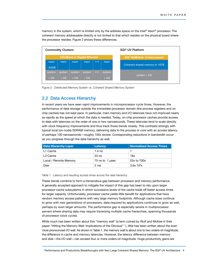memory in the system, which is limited only by the address space on the Intel® Xeon® processor. The coherent memory addressable directly is not limited to that which resides on the physical board where the processor resides. Figure 2 shows these differences.



Figure 2: Distributed Memory System vs. Coherent Shared Memory System

#### 2.2 Data Access Hierarchy

In recent years we have seen rapid improvements in microprocessor cycle times. However, the performance of data storage outside the immediate processor domain (the process registers and on chip caches) has not kept pace. In particular, main memory and I/O latencies have not improved nearly as rapidly as the speed at which the data is needed. Today, on-chip processor caches provide access to data with latencies on the order of one or two nanoseconds. These latencies tend to scale directly with clock frequency improvements and thus track those trends closely. This contrasts strongly with typical local (on-node) SDRAM memory, delivering data to the process or core with an access latency of perhaps 100 nanoseconds—roughly 100x slower. Corresponding reductions in bandwidth occur as you progress through the data hierarchy as well.

| <b>Data Hierarchy Layer</b> | Latency         | Normalized Access Times |
|-----------------------------|-----------------|-------------------------|
| L1 Cache                    | $1.4$ ns        |                         |
| L3 Cache                    | $23$ ns         | 16x                     |
| Local / Remote Memory       | 75 ns to 1 usec | 53x to 700x             |
| Disk                        | 2 ms            | $3.6x$ 10 $\frac{6}{x}$ |

Table 1: Latency and resulting access times across the data hierarchy

These trends combine to form a tremendous gap between processor and memory performance. A generally accepted approach to mitigate the impact of this gap has been to rely upon larger processor cache subsystems in which successive levels of the cache trade off faster access times for larger capacity. Unfortunately, processor cache yields little benefit for applications that have random memory access patterns with very large memory footprints. Although cache sizes continue to grow with new generations of processors, data required by applications continues to grow as well, perhaps by even larger amounts. The performance gap is especially severe in multiprocessor servers where sharing data may require traversing multiple cache hierarchies, spanning thousands of processor clock cycles.

While much has been written about this "memory wall" (a term coined by Wulf and McKee in their paper "Hitting the Memory Wall: Implications of the Obvious" 1), little has been written about the even more pronounced I/O wall. As shown in Table 1, the memory wall is about one to two orders-of-magnitude, the difference in cache and memory latencies. However, the latency difference between memory and disk—the I/O wall—can exceed four or more orders-of-magnitude. Huge productivity gains are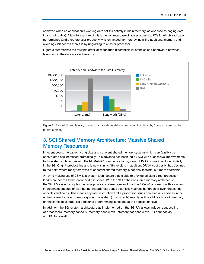achieved when an application's working data set fits entirely in main memory (as opposed to paging data in and out to disk). A familiar example of this is the common case of laptop or desktop PCs for which application performance (and therefore user productivity) is enhanced far more by installing additional memory and avoiding disk access than it is by upgrading to a faster processor.

Figure 3 summarizes the multiple order-of-magnitude differentials in latencies and bandwidth between levels within the data access hierarchy.



Figure 3: Bandwidth and latency worsen dramatically as data moves along the hierarchy from processor cache to disk storage.

## 3. SGI Shared Memory Architecture: Massive Shared Memory Resources

In recent years, the capacity of global and coherent shared memory systems which can feasibly be constructed has increased dramatically. This advance has been led by SGI with successive improvements to its system architecture with the NUMAlink® communication system. NUMAlink was introduced initially in the SGI Origin® product line and is now is in its fifth version. In addition, DRAM cost per bit has declined to the point where many terabytes of coherent shared memory is not only feasible, but more affordable.

A key to making use of CSM is a system architecture that is able to provide efficient direct processor load-store access to the entire address space. With the SGI coherent shared memory architecture, the SGI UV system couples the large physical address space of the Intel® Xeon® processor with a system interconnect capable of distributing that address space seamlessly across hundreds or even thousands of nodes and cores. This means any load instruction that a processor issues can read any address in the entire coherent shared memory space of a system (on any node) exactly as it would read data in memory on the same local node. No additional programming is needed at the application level.

In addition, the SGI system architecture as implemented on the SGI UV allows independent scaling of processors, memory capacity, memory bandwidth, interconnect bandwidth, I/O connectivity and I/O bandwidth.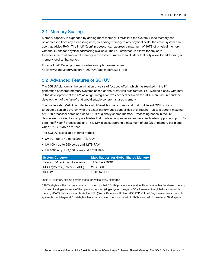#### 3.1 Memory Scaling

Memory capacity is expanded by adding more memory DIMMs into the system. Since memory can be addressed from any processing core, by adding memory to any physical node, the entire system can use that added RAM. The Intel® Xeon® processor can address a maximum of 16TB of physical memory, with the 44 bits for physical addressing available. The SGI architecture allows for any core to access the total amount of memory in the system, rather than clusters that only allow for addressing of memory local to that server.

For one Intel® Xeon® processor series example, please consult: http://www.intel.com/Assets/en\_US/PDF/datasheet/323341.pdf

#### 3.2 Advanced Features of SGI UV

The SGI UV platform is the culmination of years of focused effort, which has resulted in the fifth generation of shared memory systems based on the NUMAlink architecture. SGI worked closely with Intel in the development of the UV, as a tight integration was needed between the CPU manufacturer and the development of the "glue" that would enable coherent shared memory.

The blade-to-NUMAlink architecture of UV enables users to mix and match different CPU options to create a scalable system with the exact performance capabilities they require—up to a current maximum of 2,560 processor cores and up to 16TB of globally shared memory. Processing nodes in the UV design are provided by compute blades that contain two processor sockets per blade (supporting up to 10 core Intel® Xeon® processors) and 16 DIMM slots supporting a maximum of 256GB of memory per blade when 16GB DIMMs are used.

The SGI UV is available in three models:

- UV 10 up to 40 cores and 1TB RAM
- UV 100 up to 960 cores and 12TB RAM
- UV 1000 up to 2,560 cores and 16TB RAM

| <b>System Category</b>        | Max. Support for Global Shared Memory |  |
|-------------------------------|---------------------------------------|--|
| Typical x86 rackmount systems | 128GB - 256GB                         |  |
| RISC systems (Power, SPARC)   | $2TB - 4TB$                           |  |
| SGI UV                        | 16TB to 8PB*                          |  |

Table 2: Memory scaling comparisons for typical HPC platforms

\* 16 Terabytes is the maximum amount of memory that SGI UV processors can directly access within the shared memory domain of a single instance of the operating system (single system image or SSI). However, the globally addressable memory (GAM) that is accessible via the GRU (Global Reference Unit) or MOE (MPI Offload Engine) mechanism in a UV system is much larger at 8 petabytes. Note that a shared memory domain in UV is a subset of the overall GAM space.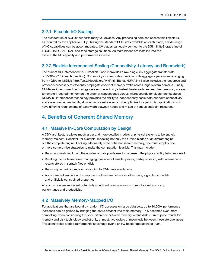#### 3.2.1 Flexible I/O Scaling

The architecture of SGI UV supports many I/O devices. Any processing core can access this flexible I/O as required by the application. By utilizing the standard PCIe slots available on each blade, a wide range of I/O capabilities can be accommodated. UV blades can easily connect to the SGI InfiniteStorage line of EBOD, RAID, SAN, NAS and tape storage solutions. As more blades are installed into the system, the I/O capacity and performance increase.

#### 3.2.2 Flexible Interconnect Scaling (Connectivity, Latency and Bandwidth)

The current SGI interconnect is NUMAlink 5 and it provides a raw single link aggregate transfer rate of 15GB/s (7.5 in each direction). Commodity clusters today use links with aggregate performance ranging from 4GB/s to 12GB/s (http://en.wikipedia.org/wiki/InfiniBand). NUMAlink 5 also includes the resources and protocols necessary to efficiently propagate coherent memory traffic across large system domains. Finally, NUMAlink interconnect technology delivers the industry's fastest hardware latencies: direct memory access to remotely located memory on the order of nanoseconds versus microseconds for cluster architectures. NUMAlink interconnect technology provides the ability to independently scale both endpoint connectivity and system-wide bandwidth, allowing individual systems to be optimized for particular applications which have differing requirements of bandwidth between nodes and mixes of various endpoint resources.

## 4. Benefits of Coherent Shared Memory

#### 4.1 Massive In-Core Computation by Design

A CSM architecture allows much larger and more detailed models of physical systems to be entirely memory resident. Consider, for example, modeling not only the turbine blades of an aircraft engine, but the complete engine. Lacking adequately sized coherent shared memory, one must employ one or more compromise strategies to make the computation feasible. This may include:

- Reducing mesh resolution: the number of data points used to represent the physical entity being modeled
- Breaking the problem down: managing it as a set of smaller pieces, perhaps dealing with intermediate results stored in scratch files on disk
- Reducing numerical precision: dropping to 32-bit representations
- Approximated emulation of component subsystem behaviors: often using algorithmic models and artificially constrained properties

All such strategies represent potentially significant compromises in computational accuracy, performance and productivity.

#### 4.2 Massively Memory-Mapped I/O

For applications that are bound by random I/O accesses on large data sets, up to 10,000x performance increases can be gained by bringing the entire dataset into main memory. This becomes even more compelling when considering the price difference between memory versus disk. Current price trends for memory and disk technology predict only, at most, two orders of magnitude between these storage layers. This alone yields a price-performance advantage over disk I/O-based operations of 100x.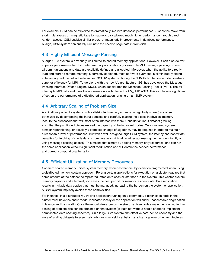For example, CSM can be exploited to dramatically improve database performance. Just as the move from storing databases on magnetic tape to magnetic disk allowed much higher performance through direct random access, CSM enables similar orders-of-magnitude improvements in database performance. A large, CSM system can entirely eliminate the need to page data in from disk.

#### 4.3 Highly Efficient Message Passing

A large CSM system is obviously well suited to shared memory applications. However, it can also deliver superior performance for distributed memory applications (for example MPI message passing) where all communications and data are explicitly defined and allocated. Moreover, when the ability to directly load and store to remote memory is correctly exploited, most software overhead is eliminated, yielding substantially reduced effective latencies. SGI UV systems utilizing the NUMAlink interconnect demonstrate superior efficiency for MPI. To go along with the new UV architecture, SGI has developed the Message Passing Interface Offload Engine (MOE), which accelerates the Mesasge Passing Toolkit (MPT). The MPT intercepts MPI calls and uses the acceleration available on the UV\_HUB ASIC. This can have a significant effect on the performance of a distributed application running on an SMP system.

#### 4.4 Arbitrary Scaling of Problem Size

Applications ported to systems with a distributed memory organization (globally shared) are often optimized by decomposing the input datasets and carefully placing the pieces in physical memory local to the processors that will most often interact with them. Consider an input dataset growing such that the partitioned pieces exceed the capacity of the individual nodes. On a clustered system, a major repartitioning, or possibly a complete change of algorithm, may be required in order to maintain a reasonable level of performance. But with a well-designed large CSM system, the latency and bandwidth penalties for fetching off-node data is comparatively minimal (whether addressing the memory directly or using message passing access). This means that simply by adding memory-only resources, one can run the same application without significant modification and still obtain the needed performance and correct computational behavior.

#### 4.5 Efficient Utilization of Memory Resources

Coherent shared memory unifies system memory resources that are, by definition, fragmented when using a distributed memory system approach. Porting certain applications for execution on a cluster requires that some amount of the dataset be replicated, often onto each cluster node in the system. This wastes system memory capacity and effectively increases the cost per bit for memory resident data. Data replication results in multiple data copies that must be managed, increasing the burden on the system or application. A CSM system implicitly avoids these complexities.

For instance, in a distributed ray tracing application running on a commodity cluster, each node in the cluster must have the entire model replicated locally or the application will suffer unacceptable degradation in latency and bandwidth. Once the model size exceeds the size of a given node's main memory, no further scaling of problem size can be obtained on that system (at least not without heroic efforts to implement complicated data caching schemes). On a large CSM system, the effective cost-per-bit economy and the ease of scaling datasets to essentially arbitrary size yield a substantial advantage over other architectures.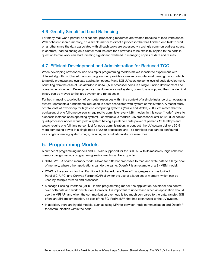#### 4.6 Greatly Simplified Load Balancing

For many real-world parallel applications, processing resources are wasted because of load imbalances. With coherent shared memory, it's a simple matter to direct a processor that has finished one task to start on another since the data associated with all such tasks are accessed via a single common address space. In contrast, load balancing on a cluster requires data for a new task to be explicitly copied to the node in question before work can start, creating significant overhead in managing copies of data and results.

#### 4.7 Efficient Development and Administration for Reduced TCO

When developing new codes, use of simpler programming models makes it easier to experiment with different algorithms. Shared memory programming provides a simple computational paradigm upon which to rapidly prototype and evaluate application codes. Many SGI UV users do some level of code development, benefiting from the ease of use afforded in up to 2,560 processor cores in a single, unified development and operating environment. Development can be done on a small system, down to a laptop, and then the identical binary can be moved to the large system and run at scale.

Further, managing a collection of computer resources within the context of a single instance of an operating system represents a fundamental reduction in costs associated with system administration. A recent study of total cost of ownership for high-end computing systems (Muzio and Walsh, 2003) estimates that the equivalent of one full-time person is required to administer every 128 $^2$  nodes (in this case, "node" refers to a specific instance of an operating system). For example, a modern 256 processor cluster of 128 dual-socket, quad-processor nodes would yield a system having a peak compute power of perhaps 12 teraflops and would require one full time person just for node administration. In contrast, the UV system delivers 50% more computing power in a single node of 2,560 processors and 18+ teraflops that can be configured as a single operating system image, requiring minimal administrative resources.

## 5. Programming Models

A number of programming models and APIs are supported for the SGI UV. With its massively large coherent memory design, various programming environments can be supported:

- SHMEM™ A shared memory model allows for different processes to read and write data to a large pool of memory, where other applications can do the same. OpenMP is an example of a SHMEM model.
- PGAS is the acronym for the "Partitioned Global Address Space." Languages such as Unified Parallel C (UPC) and CoArray Fortran (CAF) allow for the use of a large set of memory, which can be used by multiple threads and processes.
- Message Passing Interface (MPI) In this programming model, the application developer has control over both data and work distribution. However, it is important to understand when an application should use the MPI API and when the communication overhead is too much compared to the data transfer. SGI offers an MPI implementation, as part of the SGI ProPack™, that has been tuned to the UV system.
- In addition, there are hybrid models, such as using MPI for between-node communication and OpenMP for communication within the node.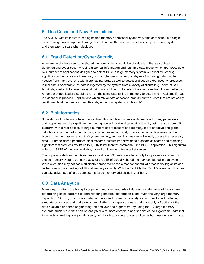#### 6. Use Cases and New Possibilities

The SGI UV, with its industry leading shared memory addressability and very high core count in a single system image, opens up a wide range of applications that can are easy to develop on smaller systems, and then easy to scale when deployed.

#### 6.1 Fraud Detection/Cyber Security

An example of where very large shared memory systems would be of value is in the area of fraud detection and cyber security. Using historical information and real time data feeds, which are accessible by a number of applications designed to detect fraud, a large memory system will excel by keeping significant amounts of data in memory. In the cyber security field, terabytes of incoming data may be needed from many systems with historical patterns, as well to detect and act on cyber security breaches, in real time. For example, as data is ingested by the system from a variety of clients (e.g., point-of-sale terminals, kiosks, ticket machines), algorithms could be run to determine anomalies from known patterns. A number of applications could be run on the same data sitting in memory to determine in real time if fraud is evident or in process. Applications which rely on fast access to large amounts of data that are not easily partitioned lend themselves to multi-terabyte memory systems such as UV.

#### 6.2 BioInformatics

Simulations of molecular interaction involving thousands of discrete units, each with many parameters and properties, require significant computing power to arrive at a certain state. By using a large computing platform with direct access to large numbers of processors and memory, more effective and global calculations can be performed, arriving at solutions more quickly. In addition, large databases can be brought into the massive amount of system memory, and applications can individually access the necessary data. A Europe-based pharmaceutical research institute has developed a genomics search and matching algorithm that produces results up to 1,000x faster than the commonly used BLAST application. This algorithm relies on 192GB of memory available, more than lower end two-socket servers.

The popular code NWChem is routinely run at one SGI customer site on only four processors of an SGI shared memory system, but using 80% of the 2TB of globally shared memory configured in that system. While execution may not scale efficiently across more than a modest handful of processors, big gains can be had simply by exploiting additional memory capacity. With the flexibility that SGI UV offers, applications can take advantage of large core counts, large memory addressability, or both.

#### 6.3 Data Analytics

Many organizations are trying to cope with massive amounts of data on a wide range of topics, from determining sales patterns to administering material distribution plans. With the very large memory capacity of SGI UV, much more data can be stored for real time analytics in order to find patterns, simulate processes and make decisions. Rather than applications working on only a fraction of the data available and then segmenting the analysis and algorithms, by using the UV large memory systems much more data can be analyzed with more complete and sophisticated algorithms. With real time decision making using full data sets, new insights can be explored and better business decisions made.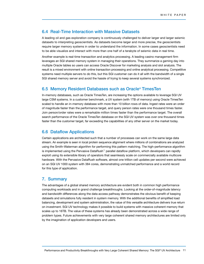### 6.4 Real-Time Interaction with Massive Datasets

A leading oil and gas exploration company is continuously challenged to deliver larger and larger seismic datasets to interpreting geoscientists. As datasets become larger and more precise, the geoscientists require larger memory systems in order to understand the information. In some cases geoscientists need to be able visualize and interact with more than one half of a terabyte of seismic data in real time.

Another example is real-time transaction and analytics processing. A leading casino management firm leverages an SGI shared memory system in managing their operations. They summarize a gaming day into multiple Oracle tables so users can access Oracle Discover for marketing analysis and slot analysis. The result is a mixed environment with online transaction processing and online analytical processing. Competitive systems need multiple servers to do this, but this SGI customer can do it all with the bandwidth of a single SGI shared memory server and avoid the hassle of trying to keep several systems synchronized.

#### 6.5 Memory Resident Databases such as Oracle® TimesTen

In-memory databases, such as Oracle TimesTen, are increasing the options available to leverage SGI UV large CSM systems. In a customer benchmark, a UV system (with 1TB of memory) using Oracle TimesTen scaled to handle an in-memory database with more than 10 billion rows of data. Ingest rates were an order of magnitude faster than the performance target, and query person rates were one thousand times faster. Join person/order rates were a remarkable million times faster than the performance target. The overall search performance of the Oracle TimesTen database on the SGI UV system was over one thousand times faster than the customer target, far exceeding the capabilities of any other server on the market today.

#### 6.6 Dataflow Applications

Certain applications are architected such that a number of processes can work on the same large data stream. An example is seen in local protein sequence alignment where millions of combinations are analyzed using the Smith-Waterman algorithm for performing this pattern matching. The high-performance algorithm is implemented using the Pervasive DataRush™ parallel dataflow platform, which developers can rapidly exploit using its extensible library of operators that seamlessly scale on commercially available multicore hardware. With the Pervasive DataRush software, almost one trillion cell updates per second were achieved on an SGI UV 1000 system with 384 cores, demonstrating unmatched performance and a world record for this type of application.

#### 7. Summary

The advantages of a global shared memory architecture are evident both in common high performance computing workloads and in grand challenge breakthroughs. Looking at the order-of-magnitude latency and bandwidth differences along the data access pathway demonstrates the obvious benefit of keeping datasets and simulations fully resident in system memory. With the additional benefits of simplified load balancing, development and system administration, the value of this versatile architecture delivers true return on investment. SGI UV technology makes it possible to build systems with massive coherent memory that scales up to 16TB. The value of these systems has already been demonstrated across a wide range of problem types. Future achievements with very large coherent shared memory architectures are limited only by the imagination of application developers and users.